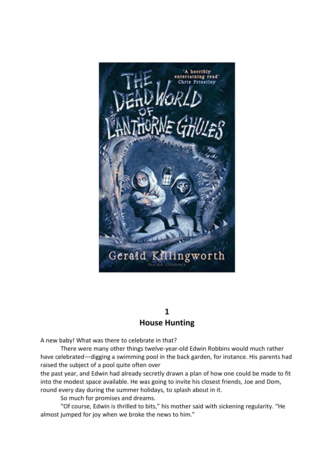

## **1 House Hunting**

A new baby! What was there to celebrate in that?

There were many other things twelve-year-old Edwin Robbins would much rather have celebrated—digging a swimming pool in the back garden, for instance. His parents had raised the subject of a pool quite often over

the past year, and Edwin had already secretly drawn a plan of how one could be made to fit into the modest space available. He was going to invite his closest friends, Joe and Dom, round every day during the summer holidays, to splash about in it.

So much for promises and dreams.

"Of course, Edwin is thrilled to bits," his mother said with sickening regularity. "He almost jumped for joy when we broke the news to him."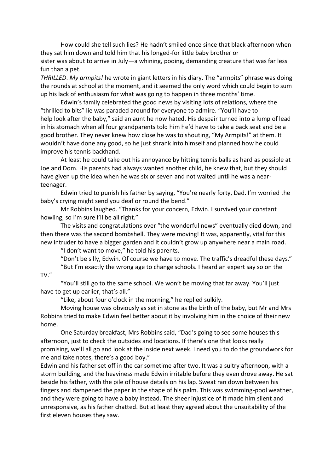How could she tell such lies? He hadn't smiled once since that black afternoon when they sat him down and told him that his longed-for little baby brother or sister was about to arrive in July—a whining, pooing, demanding creature that was far less fun than a pet.

*THRILLED*. *My armpits!* he wrote in giant letters in his diary. The "armpits" phrase was doing the rounds at school at the moment, and it seemed the only word which could begin to sum up his lack of enthusiasm for what was going to happen in three months' time.

Edwin's family celebrated the good news by visiting lots of relations, where the "thrilled to bits" lie was paraded around for everyone to admire. "You'll have to help look after the baby," said an aunt he now hated. His despair turned into a lump of lead in his stomach when all four grandparents told him he'd have to take a back seat and be a good brother. They never knew how close he was to shouting, "My Armpits!" at them. It wouldn't have done any good, so he just shrank into himself and planned how he could improve his tennis backhand.

At least he could take out his annoyance by hitting tennis balls as hard as possible at Joe and Dom. His parents had always wanted another child, he knew that, but they should have given up the idea when he was six or seven and not waited until he was a nearteenager.

Edwin tried to punish his father by saying, "You're nearly forty, Dad. I'm worried the baby's crying might send you deaf or round the bend."

Mr Robbins laughed. "Thanks for your concern, Edwin. I survived your constant howling, so I'm sure I'll be all right."

The visits and congratulations over "the wonderful news" eventually died down, and then there was the second bombshell. They were moving! It was, apparently, vital for this new intruder to have a bigger garden and it couldn't grow up anywhere near a main road.

"I don't want to move," he told his parents.

"Don't be silly, Edwin. Of course we have to move. The traffic's dreadful these days." "But I'm exactly the wrong age to change schools. I heard an expert say so on the

## TV $''$

"You'll still go to the same school. We won't be moving that far away. You'll just have to get up earlier, that's all."

"Like, about four o'clock in the morning," he replied sulkily.

Moving house was obviously as set in stone as the birth of the baby, but Mr and Mrs Robbins tried to make Edwin feel better about it by involving him in the choice of their new home.

One Saturday breakfast, Mrs Robbins said, "Dad's going to see some houses this afternoon, just to check the outsides and locations. If there's one that looks really promising, we'll all go and look at the inside next week. I need you to do the groundwork for me and take notes, there's a good boy."

Edwin and his father set off in the car sometime after two. It was a sultry afternoon, with a storm building, and the heaviness made Edwin irritable before they even drove away. He sat beside his father, with the pile of house details on his lap. Sweat ran down between his fingers and dampened the paper in the shape of his palm. This was swimming-pool weather, and they were going to have a baby instead. The sheer injustice of it made him silent and unresponsive, as his father chatted. But at least they agreed about the unsuitability of the first eleven houses they saw.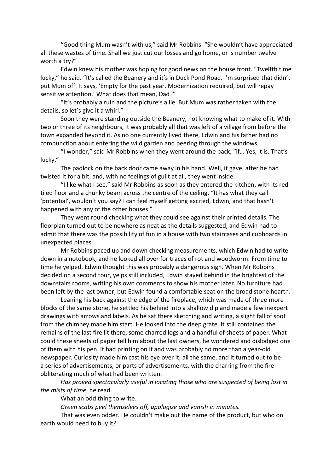"Good thing Mum wasn't with us," said Mr Robbins. "She wouldn't have appreciated all these wastes of time. Shall we just cut our losses and go home, or is number twelve worth a try?"

Edwin knew his mother was hoping for good news on the house front. "Twelfth time lucky," he said. "It's called the Beanery and it's in Duck Pond Road. I'm surprised that didn't put Mum off. It says, 'Empty for the past year. Modernization required, but will repay sensitive attention.' What does that mean, Dad?"

"It's probably a ruin and the picture's a lie. But Mum was rather taken with the details, so let's give it a whirl."

Soon they were standing outside the Beanery, not knowing what to make of it. With two or three of its neighbours, it was probably all that was left of a village from before the town expanded beyond it. As no one currently lived there, Edwin and his father had no compunction about entering the wild garden and peering through the windows.

"I wonder," said Mr Robbins when they went around the back, "if… Yes, it is. That's lucky."

The padlock on the back door came away in his hand. Well, it gave, after he had twisted it for a bit, and, with no feelings of guilt at all, they went inside.

"I like what I see," said Mr Robbins as soon as they entered the kitchen, with its redtiled floor and a chunky beam across the centre of the ceiling. "It has what they call 'potential', wouldn't you say? I can feel myself getting excited, Edwin, and that hasn't happened with any of the other houses."

They went round checking what they could see against their printed details. The floorplan turned out to be nowhere as neat as the details suggested, and Edwin had to admit that there was the possibility of fun in a house with two staircases and cupboards in unexpected places.

Mr Robbins paced up and down checking measurements, which Edwin had to write down in a notebook, and he looked all over for traces of rot and woodworm. From time to time he yelped. Edwin thought this was probably a dangerous sign. When Mr Robbins decided on a second tour, yelps still included, Edwin stayed behind in the brightest of the downstairs rooms, writing his own comments to show his mother later. No furniture had been left by the last owner, but Edwin found a comfortable seat on the broad stone hearth.

Leaning his back against the edge of the fireplace, which was made of three more blocks of the same stone, he settled his behind into a shallow dip and made a few inexpert drawings with arrows and labels. As he sat there sketching and writing, a slight fall of soot from the chimney made him start. He looked into the deep grate. It still contained the remains of the last fire lit there, some charred logs and a handful of sheets of paper. What could these sheets of paper tell him about the last owners, he wondered and dislodged one of them with his pen. It had printing on it and was probably no more than a year-old newspaper. Curiosity made him cast his eye over it, all the same, and it turned out to be a series of advertisements, or parts of advertisements, with the charring from the fire obliterating much of what had been written.

*Has proved spectacularly useful in locating those who are suspected of being lost in the mists of time*, he read.

What an odd thing to write.

*Green scabs peel themselves off, apologize and vanish in minutes.*

That was even odder. He couldn't make out the name of the product, but who on earth would need to buy it?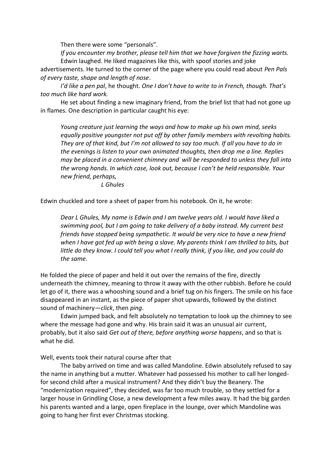Then there were some "personals".

*If you encounter my brother, please tell him that we have forgiven the fizzing warts.* Edwin laughed. He liked magazines like this, with spoof stories and joke

advertisements. He turned to the corner of the page where you could read about *Pen Pals of every taste, shape and length of nose*.

*I'd like a pen pal*, he thought. *One I don't have to write to in French, though. That's too much like hard work.*

He set about finding a new imaginary friend, from the brief list that had not gone up in flames. One description in particular caught his eye:

*Young creature just learning the ways and how to make up his own mind, seeks equally positive youngster not put off by other family members with revolting habits. They are of that kind, but I'm not allowed to say too much. If all you have to do in the evenings is listen to your own animated thoughts, then drop me a line. Replies may be placed in a convenient chimney and will be responded to unless they fall into the wrong hands. In which case, look out, because I can't be held responsible. Your new friend, perhaps,*

*L Ghules*

Edwin chuckled and tore a sheet of paper from his notebook. On it, he wrote:

*Dear L Ghules, My name is Edwin and I am twelve years old. I would have liked a swimming pool, but I am going to take delivery of a baby instead. My current best friends have stopped being sympathetic. It would be very nice to have a new friend when I have got fed up with being a slave. My parents think I am thrilled to bits, but little do they know. I could tell you what I really think, if you like, and you could do the same.*

He folded the piece of paper and held it out over the remains of the fire, directly underneath the chimney, meaning to throw it away with the other rubbish. Before he could let go of it, there was a whooshing sound and a brief tug on his fingers. The smile on his face disappeared in an instant, as the piece of paper shot upwards, followed by the distinct sound of machinery—*click*, then *ping*.

Edwin jumped back, and felt absolutely no temptation to look up the chimney to see where the message had gone and why. His brain said it was an unusual air current, probably, but it also said *Get out of there, before anything worse happens*, and so that is what he did.

Well, events took their natural course after that

The baby arrived on time and was called Mandoline. Edwin absolutely refused to say the name in anything but a mutter. Whatever had possessed his mother to call her longedfor second child after a musical instrument? And they didn't buy the Beanery. The "modernization required", they decided, was far too much trouble, so they settled for a larger house in Grindling Close, a new development a few miles away. It had the big garden his parents wanted and a large, open fireplace in the lounge, over which Mandoline was going to hang her first ever Christmas stocking.